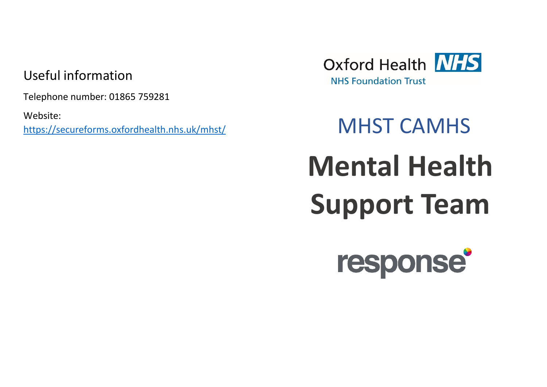## Useful information

Telephone number: 01865 759281

Website: <https://secureforms.oxfordhealth.nhs.uk/mhst/> MHST CAMHS



# **Mental Health Support Team**